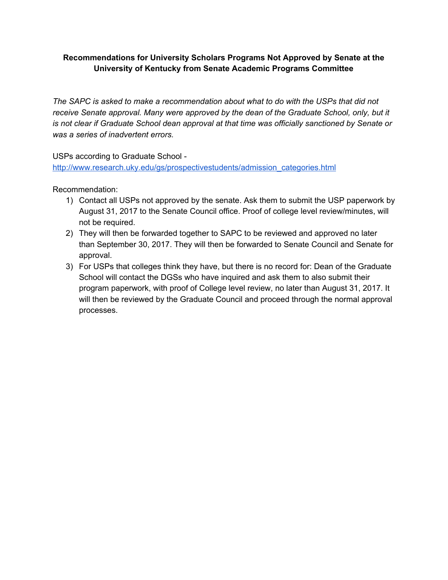## **Recommendations for University Scholars Programs Not Approved by Senate at the University of Kentucky from Senate Academic Programs Committee**

*The SAPC is asked to make a recommendation about what to do with the USPs that did not receive Senate approval. Many were approved by the dean of the Graduate School, only, but it is not clear if Graduate School dean approval at that time was officially sanctioned by Senate or was a series of inadvertent errors.*

USPs according to Graduate School -

[http://www.research.uky.edu/gs/prospectivestudents/admission\\_categories.html](http://www.research.uky.edu/gs/prospectivestudents/admission_categories.html)

Recommendation:

- 1) Contact all USPs not approved by the senate. Ask them to submit the USP paperwork by August 31, 2017 to the Senate Council office. Proof of college level review/minutes, will not be required.
- 2) They will then be forwarded together to SAPC to be reviewed and approved no later than September 30, 2017. They will then be forwarded to Senate Council and Senate for approval.
- 3) For USPs that colleges think they have, but there is no record for: Dean of the Graduate School will contact the DGSs who have inquired and ask them to also submit their program paperwork, with proof of College level review, no later than August 31, 2017. It will then be reviewed by the Graduate Council and proceed through the normal approval processes.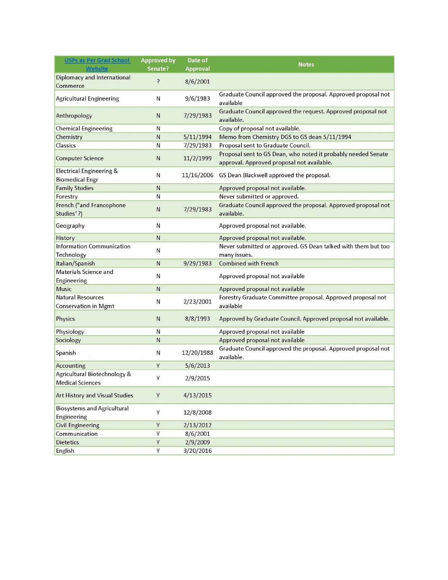| <b>USPs as Per Grad School</b>     | <b>Approved by</b> | Date of         | <b>Notes</b>                                                   |
|------------------------------------|--------------------|-----------------|----------------------------------------------------------------|
| Website                            | Senate?            | <b>Approval</b> |                                                                |
| Diplomacy and International        | ?                  | 8/6/2001        |                                                                |
| Commerce                           |                    |                 |                                                                |
| <b>Agricultural Engineering</b>    | N                  | 9/6/1983        | Graduate Council approved the proposal. Approved proposal not  |
|                                    |                    |                 | available                                                      |
| Anthropology                       | N                  | 7/29/1983       | Graduate Council approved the request. Approved proposal not   |
|                                    |                    |                 | available.                                                     |
| <b>Chemical Engineering</b>        | N                  |                 | Copy of proposal not available.                                |
| Chemistry                          | N                  | 5/11/1994       | Memo from Chemistry DGS to GS dean 5/11/1994                   |
| <b>Classics</b>                    | N                  | 7/29/1983       | Proposal sent to Graduate Council.                             |
| <b>Computer Science</b>            | N                  | 11/2/1999       | Proposal sent to GS Dean, who noted it probably needed Senate  |
|                                    |                    |                 | approval. Approved proposal not available.                     |
| Electrical Engineering &           | N                  | 11/16/2006      | GS Dean Blackwell approved the proposal.                       |
| <b>Biomedical Engr</b>             |                    |                 |                                                                |
| <b>Family Studies</b>              | N                  |                 | Approved proposal not available.                               |
| Forestry                           | N                  |                 | Never submitted or approved.                                   |
| French ("and Francophone           | N                  | 7/29/1983       | Graduate Council approved the proposal. Approved proposal not  |
| Studies"?)                         |                    |                 | available.                                                     |
| Geography                          | N                  |                 | Approved proposal not available.                               |
|                                    |                    |                 |                                                                |
| History                            | N                  |                 | Approved proposal not available.                               |
| Information Communication          | N                  |                 | Never submitted or approved. GS Dean talked with them but too  |
| Technology                         |                    |                 | many issues.                                                   |
| Italian/Spanish                    | N                  | 9/29/1983       | <b>Combined with French</b>                                    |
| Materials Science and              | Ν                  |                 | Approved proposal not available                                |
| Engineering                        |                    |                 |                                                                |
| <b>Music</b>                       | N                  |                 | Approved proposal not available                                |
| <b>Natural Resources</b>           |                    |                 | Forestry Graduate Committee proposal. Approved proposal not    |
| <b>Conservation in Mgmt</b>        | N                  | 2/23/2001       | available                                                      |
| <b>Physics</b>                     | N                  | 8/8/1993        |                                                                |
|                                    |                    |                 | Approved by Graduate Council. Approved proposal not available. |
| Physiology                         | N                  |                 | Approved proposal not available                                |
| Sociology                          | N                  |                 | Approved proposal not available                                |
| Spanish                            | N                  | 12/20/1988      | Graduate Council approved the proposal. Approved proposal not  |
|                                    |                    |                 | available.                                                     |
| Accounting                         | Y                  | 5/6/2013        |                                                                |
| Agricultural Biotechnology &       |                    |                 |                                                                |
| <b>Medical Sciences</b>            | Υ                  | 2/9/2015        |                                                                |
| Art History and Visual Studies     | Y                  | 4/13/2015       |                                                                |
|                                    |                    |                 |                                                                |
| <b>Biosystems and Agricultural</b> |                    | 12/8/2008       |                                                                |
| Engineering                        | Y                  |                 |                                                                |
| <b>Civil Engineering</b>           | Y                  | 2/13/2012       |                                                                |
| Communication                      | Y                  | 8/6/2001        |                                                                |
| <b>Dietetics</b>                   | Y                  | 2/9/2009        |                                                                |
| English                            | Υ                  | 3/20/2016       |                                                                |
|                                    |                    |                 |                                                                |